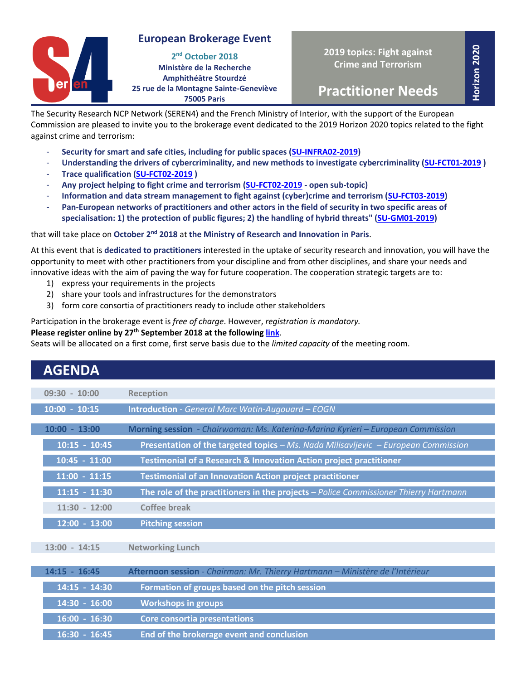# **European Brokerage Event**



**2019 topics: Fight against Crime and Terrorism**

**Horizon 2020**

**Practitioner Needs**

The Security Research NCP Network (SEREN4) and the French Ministry of Interior, with the support of the European Commission are pleased to invite you to the brokerage event dedicated to the 2019 Horizon 2020 topics related to the fight against crime and terrorism:

- **Security for smart and safe cities, including for public spaces [\(SU-INFRA02-2019\)](https://ec.europa.eu/research/participants/portal/desktop/en/opportunities/h2020/topics/su-infra02-2019.html)**
- **Understanding the drivers of cybercriminality, and new methods to investigate cybercriminality [\(SU-FCT01-2019](https://ec.europa.eu/research/participants/portal/desktop/en/opportunities/h2020/topics/su-fct01-2018-2019-2020.html) )**
- **Trace qualification [\(SU-FCT02-2019](https://ec.europa.eu/research/participants/portal/desktop/en/opportunities/h2020/topics/su-fct02-2018-2019-2020.html) )**
- **Any project helping to fight crime and terrorism [\(SU-FCT02-2019](https://ec.europa.eu/research/participants/portal/desktop/en/opportunities/h2020/topics/su-fct02-2018-2019-2020.html) - open sub-topic)**
- **Information and data stream management to fight against (cyber)crime and terrorism [\(SU-FCT03-2019\)](https://ec.europa.eu/research/participants/portal/desktop/en/opportunities/h2020/topics/su-fct03-2018-2019-2020.html)**
- **Pan-European networks of practitioners and other actors in the field of security in two specific areas of specialisation: 1) the protection of public figures; 2) the handling of hybrid threats" [\(SU-GM01-2019\)](https://ec.europa.eu/research/participants/portal/desktop/en/opportunities/h2020/topics/su-gm01-2018-2019-2020.html)**

### that will take place on October 2<sup>nd</sup> 2018 at the Ministry of Research and Innovation in Paris.

At this event that is **dedicated to practitioners** interested in the uptake of security research and innovation, you will have the opportunity to meet with other practitioners from your discipline and from other disciplines, and share your needs and innovative ideas with the aim of paving the way for future cooperation. The cooperation strategic targets are to:

- 1) express your requirements in the projects
- 2) share your tools and infrastructures for the demonstrators
- 3) form core consortia of practitioners ready to include other stakeholders

Participation in the brokerage event is *free of charge*. However, *registration is mandatory.*

#### **Please register online by 27<sup>th</sup> September 2018 at the following <u>link</u>.**

Seats will be allocated on a first come, first serve basis due to the *limited capacity* of the meeting room.

| <b>AGENDA</b>   |                                                                                      |
|-----------------|--------------------------------------------------------------------------------------|
| $09:30 - 10:00$ | <b>Reception</b>                                                                     |
| $10:00 - 10:15$ | <b>Introduction</b> - General Marc Watin-Augouard - EOGN                             |
| $10:00 - 13:00$ | Morning session - Chairwoman: Ms. Katerina-Marina Kyrieri - European Commission      |
| $10:15 - 10:45$ | Presentation of the targeted topics - Ms. Nada Milisavljevic - European Commission   |
| $10:45 - 11:00$ | Testimonial of a Research & Innovation Action project practitioner                   |
| $11:00 - 11:15$ | <b>Testimonial of an Innovation Action project practitioner</b>                      |
| $11:15 - 11:30$ | The role of the practitioners in the projects - Police Commissioner Thierry Hartmann |
| $11:30 - 12:00$ | Coffee break                                                                         |
| $12:00 - 13:00$ | <b>Pitching session</b>                                                              |
| $13:00 - 14:15$ | <b>Networking Lunch</b>                                                              |
| $14:15 - 16:45$ | Afternoon session - Chairman: Mr. Thierry Hartmann - Ministère de l'Intérieur        |
| 14:15 - 14:30   | Formation of groups based on the pitch session                                       |
| 14:30 - 16:00   | <b>Workshops in groups</b>                                                           |
| $16:00 - 16:30$ | Core consortia presentations                                                         |
| $16:30 - 16:45$ | End of the brokerage event and conclusion                                            |